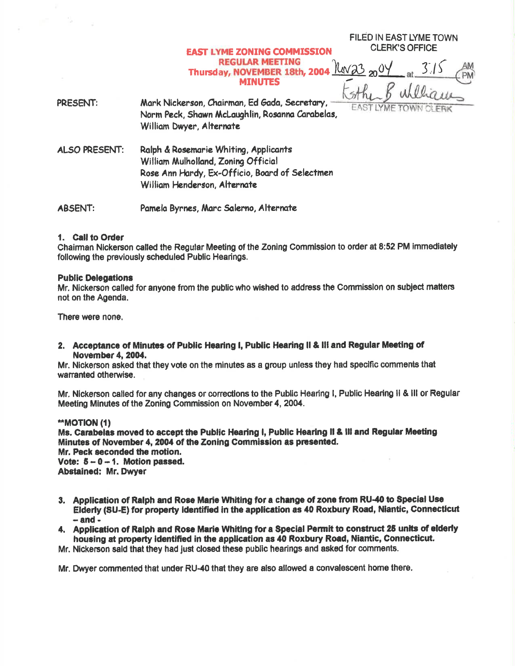#### **EAST LYME ZONING COMMISSION REGULAR MEETING** Rov 23 20 Thursday, NOVEMBER 18th, 2004 **MINUTES**

FILED IN EAST LYME TOWN **CLERK'S OFFICE** 

PRESENT: Mark Nickerson, Chairman, Ed Gada, Secretary, Norm Peck, Shawn McLaughlin, Rosanna Carabelas, William Dwyer, Alternate

**ALSO PRESENT:** Ralph & Rosemarie Whiting, Applicants William Mulholland, Zoning Official Rose Ann Hardy, Ex-Officio, Board of Selectmen William Henderson, Alternate

**ABSENT:** Pamela Byrnes, Marc Salerno, Alternate

## 1. Call to Order

Chairman Nickerson called the Regular Meeting of the Zoning Commission to order at 8:52 PM immediately following the previously scheduled Public Hearings.

### **Public Delegations**

Mr. Nickerson called for anyone from the public who wished to address the Commission on subject matters not on the Agenda.

There were none.

2. Acceptance of Minutes of Public Hearing I, Public Hearing II & III and Regular Meeting of **November 4, 2004.** 

Mr. Nickerson asked that they vote on the minutes as a group unless they had specific comments that warranted otherwise.

Mr. Nickerson called for any changes or corrections to the Public Hearing I, Public Hearing II & III or Regular Meeting Minutes of the Zoning Commission on November 4, 2004.

#### "MOTION (1)

Ms. Carabelas moved to accept the Public Hearing I, Public Hearing II & III and Regular Meeting Minutes of November 4, 2004 of the Zoning Commission as presented. Mr. Peck seconded the motion. Vote:  $5 - 0 - 1$ . Motion passed.

Abstained: Mr. Dwyer

- 3. Application of Ralph and Rose Marie Whiting for a change of zone from RU-40 to Special Use Eiderly (SU-E) for property identified in the application as 40 Roxbury Road, Niantic, Connecticut  $-$  and  $-$
- 4. Application of Ralph and Rose Marie Whiting for a Special Permit to construct 25 units of elderly housing at property identified in the application as 40 Roxbury Road, Niantic, Connecticut.
- Mr. Nickerson said that they had just closed these public hearings and asked for comments.

Mr. Dwyer commented that under RU-40 that they are also allowed a convalescent home there.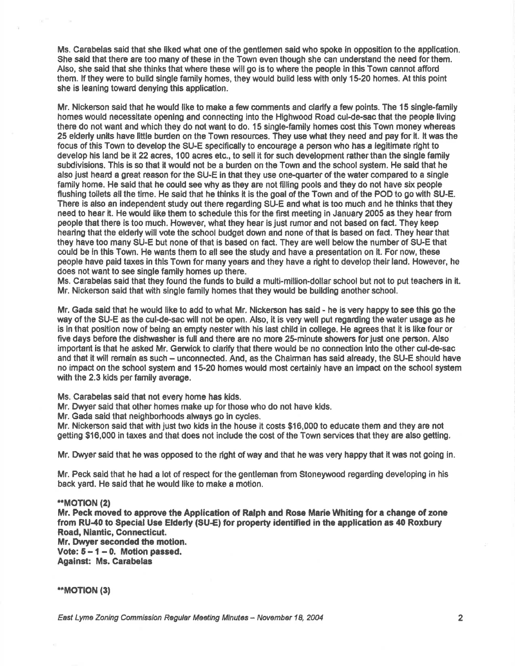Ms. Carabelas said that she liked what one of the gentlemen said who spoke ln opposition to the application. She sald that there ere too many of these in the Town even though she can understand the need forthem. Also, she said that she thinks that where these will go is to where the people in this Town cannot afford them. lf they were to bulld single family homes, they would build less with only 15-20 homes. At this point she is leaning toward denying this application.

Mr. Nickerson said that he would like to make a few comments and clarify a few points. The 15 single-family homes would necessitate opening and connecting into the Highwood Road cul-de-sac that the people living there do not want and which they do not want to do. 15 single-family homes cost this Town money whereas 25 elderly units have llttle burden on the Town resources. They use what they need and pay for it. lt was the focus of this Town to develop the SU-E specifically to encourage a person who has a legitimate right to develop his land be it 22 acres, 100 acres etc., to sell it for such development rather than the single family subdivisions, Thls is so that it would not be a burden on the Town and the school system. He sald that he also just heard a great reason for the SU-E in that they use one-quarter of the water compared to a single family home. He sald that he could see why as they are not filling pools and they do not have six people flushing toilets all the time. He said that he thinks it is the goal of the Town and of the POD to go with SU-E. There is also an independent study out there regarding SU-E and what is too much and he thinks that they need to hear it. He would liko them to schedule this for the first meetlng ln January 2005 as they hear from people that there is too much. However, what they hear is just rumor and not based on fact. They keep hearing that the elderly will vote the school budget down and none of that is based on fact. They hear that thoy have too many SU-E but none of that is based on fad. They are well below the number of SU-E that could be ln thls Town. He wants them to all see the study and have a presgntation on it. For now, these people have paid taxes in thls Town for many yeans and they have a right to develop their land. However, he does not want to see single family homes up there.

Ms. Carabelas said that they found the funds to build a multi-million-dollar school but not to put teachers in it. Mr. Nickerson said that with single family homes that they would be building another school.

Mr. Gada said that he would like to add to what Mr. Nlckerson has said - he is very happy to see this go the way of the SU-E as the cul-de-sac will not be open. Also, it is very well put regarding the water usage as he is in that position now of being an empty nester with his last child in college. He agrees that it is like four or five days before the dishwasher is full and there are no more 25-minute showers for just one person. Also important is that he asked Mr. Gerwick to clarify that there would be no connection into the other cul-de-sac and that it will remain as such – unconnected. And, as the Chairman has said already, the SU-E should have no impact on the school system and 15-20 homes would most certainly have an impact on the school system with the 2.3 kids per family average.

Ms. Carabelas sald thet nol every home has kids.

Mr. Dwyer said that other homes make up for those who do not have kids.

Mr. Gada seid that neighbofioods always go in cycles.

Mr. Nickerson said that with just two kids in the house it costs \$16,000 to educate them and they are not getting \$16,000 in taxes and that does not indude the cost of the Town services that they are also getting.

Mr. Duyer said lhat he was opposed to the right of way and that he was very happy that it was not going in.

Mr. Peck said that he had a lot of respect for the gentleman from Stoneywood regarding developing in his back yard. He said that he would like to make a motion.

#### r\*MoTtoN (e)

Mr. Peck moved to approve the Application of Ralph and Rose Marie Whiting for a change of zone from RU-40 to Special Use Elderly (SU-E) for property identified in the application as 40 Roxbury Road, Niantic, Connecticut, Mr. Dwyer seconded the motion.

Vote:  $5 - 1 - 0$ . Motion passed. Agalnst: Ms. Carabelas

\*\*MOTION (3)

East Lyme Zoning Commission Regular Meeting Minutes - November 18, 2004 2004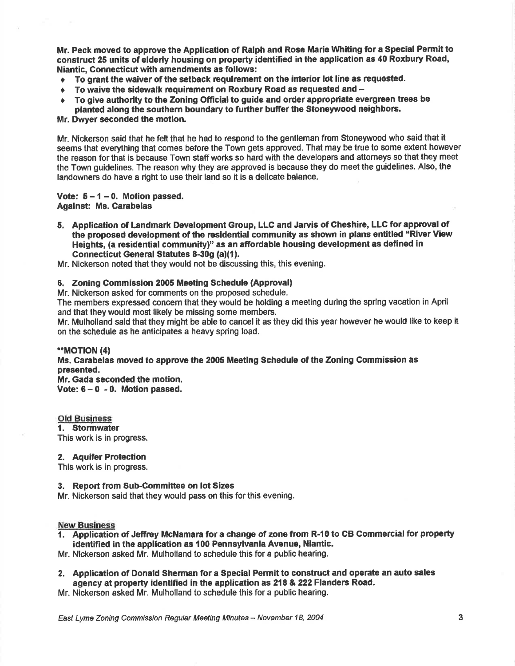Mr. Peck moved to approve the Application of Ralph and Rose Marie Whiting for a Special Permit to construct 25 units of elderly housing on property identified in the application as 40 Roxbury Road, Niantic, Connecticut with amendments as follows:

- $+$  To grant the waiver of the setback requirement on the interior lot line as requested.
- $\leftrightarrow$  To waive the sidewalk requirement on Roxbury Road as requested and  $-$ <br> $\leftrightarrow$  To give authority to the Zoning Official to quide and order appropriate ev
- To give authority to the Zoning Official to guide and order appropriate evergreen trees be planted along the southern boundary to further buffer the Stoneywood neighbors.

Mr. Dwyer seconded the motion.

Mr. Nickerson said that he felt that he had to respond to the gentleman from Stoneywood who said that it seems that everything that comes before the Town gets approved. That may be true to some extent however the reason for that is because Town staff works so hard with the developers and attorneys so that they meet the Town guidelines. The reason why they are approved is because they do meet the guidelines. Also, the landowners do have a right to use their land so it is a delicate balance.

Vote:  $5 - 1 - 0$ . Motion passed. Against: Ms. Carabelas

5. Application of Landmark Development Group, LLG and Jarvis of Cheshire, LLC for approval of the proposed development of the residential community as shown in plans entitled "River View Heights, (a residential community)" as an affordable housing development as defined in Connecticut General Statutes 8-30g (a)(1).

Mr. Nickerson noted that they would not be discussing this, this evening.

### 6. Zoning Commission 2005 Meeting Schedule (Approval)

Mr. Nickerson asked for comments on the proposed schedule.

The members expressed concern that they would be holding a meeting during the spring vacation in April and that they would most likely be missing some members.

Mr. Mulholland said that they might be able to cancel it as they did this year however he would like to keep it on the schedule as he anticipates a heavy spring load.

#### \*\*MOT|ON (41

Ms. Carabelas moved to approve the 2005 Meeting Schedule of the Zoning Commission as presented. Mr. Gada seconded the motion.

Vote:  $6-0$  - 0. Motion passed.

Old Business 1. Stormwater This work is in progress,

2. Aquifer Protection

This work is in progress.

#### 3. Report from \$ub-Gommittee on lot Sizes

Mr. Nickerson said that they would pass on this for this evening.

- New Business<br>1. Application of Jeffrey McNamara for a change of zone from R-10 to CB Commercial for property identified in the application as 100 Pennsylvania Avenue, Niantic.
- Mr. Nickerson asked Mr. Mulholland to schedule this for a public hearing.
- 2. Application of Donald Sherman for a Special Permit to construct and operate an auto sales agency at property identified in the application as 218 & 222 Flanders Road.
- Mr. Nickerson asked Mr. Mulholland to schedule this for a public hearing.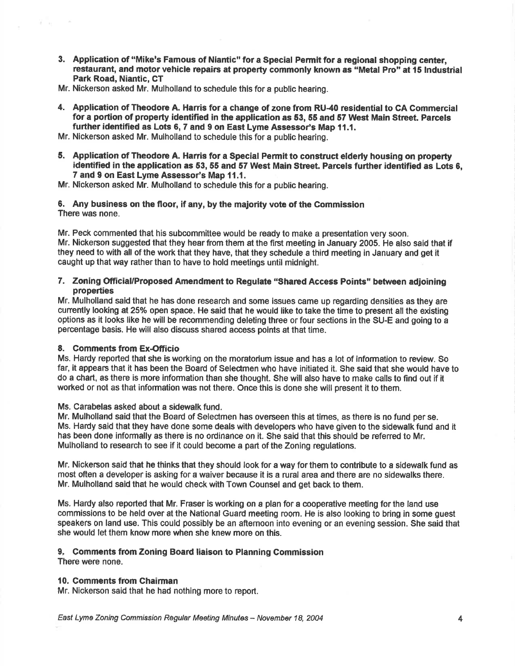- 3. Application of "Mike's Famous of Niantic" for a Special Permit for a regional shopping center, nestaurant, and motor vehicle repairs at property commonly known as "Metal Pro" at 15 lndustrial Park Road, Niantic, CT
- Mr. Nickerson asked Mr. Mulholland to schedule this for a public hearing.
- 4. Application of Theodore A. Harris for a change of zone from RU-40 residential to CA Commercial for a portion of property identified in the application as 53, 55 and 57 West Main Street. Parcels further identified as Lots 6, 7 and 9 on East Lyme Assessor's Map 11.1.
- Mr. Nickerson asked Mr. Mulholland to schedule this for a public hearing.
- 5. Application of Theodore A. Harris for a Special Permit to construct elderly housing on property identified in the application as 63, 55 and 57 West Main Street. Parcels further identified as Lots 6, 7 and 9 on East Lyme Assessor's Map 11.1.
- Mr. Nickerson asked Mr. Mulholland to schedule this for a public hearing.

6. Any business on the floor, if any, by the majority vote of the Commission There was none.

Mr. Peck commented that his subcommittee would be ready to make a presentation very soon. Mr. Nickerson suggested that they hear from them at the first meeting in January 2005. He also said that if they need to with all of the work that they have, that they schedule a third meeting in January and get it caught up that way rather than to have to hold meetings until midnight.

7. Zoning Official/Proposed Amendment to Regulate "Shared Access Points" between adjoining properties

Mr. Mulholland said that he has done research and some issues came up regarding densities as they are currently looking at 25% open space. He said that he would like to take the time to present all the existing options as it looks like he will be recommending deleting three or four sections in the SU-E and going to a percentage basis. He will also discuss shared access polnts at that time.

#### 8. Comments from Ex-Officio

 $f = -1$ 

Ms. Hardy reported that she is working on the moratorium issue and has a lot of information to review. So far, it appears that it has been the Board of Seledmen who have initiated it. She said that she would have to do a chart, as there is more information than she thought. She will also have to make calls to find out if it worked or not as that information was not there. Once this is done she will present it to them.

Ms. Carabelas asked about a sidewalk fund.

Mr. Mulholland said that the Board of Selectmen has overseen this at times, as there is no fund per se. Ms. Hardy said that they have done some deals with developers who have given to the sidewalk fund and it has been done informally as there is no ordinance on it. She said that this should be refened to Mr. Mulholland to research to see if it could become a part of the Zoning regulations.

Mr. Nickerson said that he thinks that they should look for a way for them to contribute to a sidewalk fund as most often a developer is asking for a waiver because it is a rural area and there are no sidewalks there. Mr. Mulholland said that he would check with Town Counsel and get back to them.

Ms. Hardy also reported that Mr. Fraser is working on a plan for a cooperative meeting for the land use commissions to be held over at the National Guard meeting roem. He is also looking to bring in some guest speakers on land use. This could possibly be an afternoon into evening or an evening session. She said that she would let them know more when she knew more on this.

#### 9, Gomments from Zoning Board liaison to Planning Commission

There were none.

## 10. Comments from Chairman

Mr, Nickerson said that he had nothing more to report.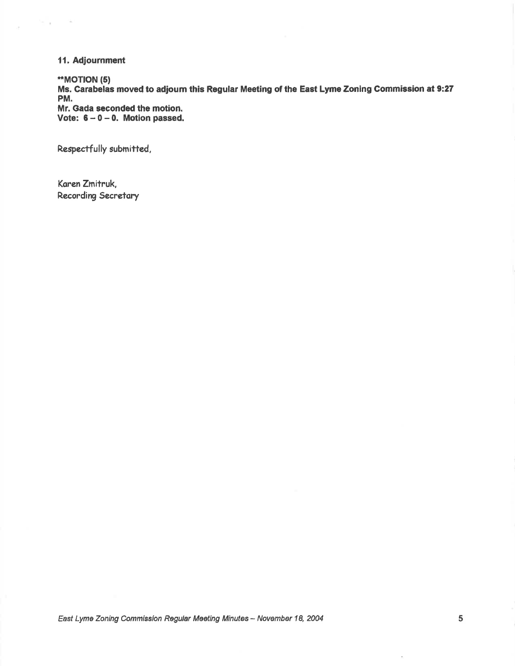11. Adjournment

.\*MOT|ON (5)

Service Co.

ò.

Ms. Carabelas moved to adjoum this Regular Meeting of the East Lyme Zoning Commission at 9:27 PM.

Mr. Gada seconded the motion.

Vote:  $6 - 0 - 0$ . Motion passed.

Respectfully submitted,

Karen Zmitruk, Recording Secretary